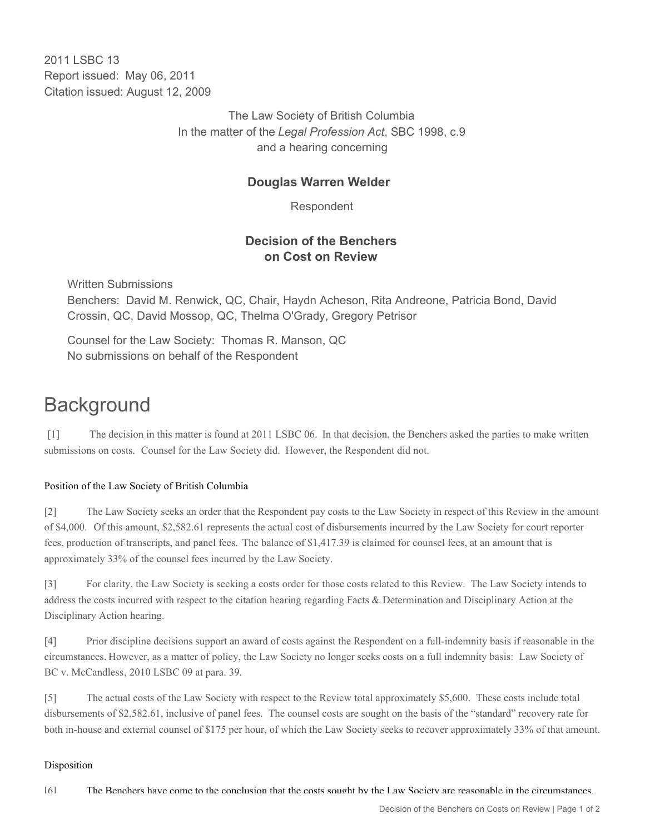2011 I SBC 13 Report issued: May 06, 2011 Citation issued: August 12, 2009

> The Law Society of British Columbia In the matter of the *Legal Profession Act*, SBC 1998, c.9 and a hearing concerning

## **Douglas Warren Welder**

Respondent

## **Decision of the Benchers on Cost on Review**

Written Submissions Benchers: David M. Renwick, QC, Chair, Haydn Acheson, Rita Andreone, Patricia Bond, David Crossin, QC, David Mossop, QC, Thelma O'Grady, Gregory Petrisor

Counsel for the Law Society: Thomas R. Manson, QC No submissions on behalf of the Respondent

# **Background**

[1] The decision in this matter is found at 2011 LSBC 06. In that decision, the Benchers asked the parties to make written submissions on costs. Counsel for the Law Society did. However, the Respondent did not.

### Position of the Law Society of British Columbia

[2] The Law Society seeks an order that the Respondent pay costs to the Law Society in respect of this Review in the amount of \$4,000. Of this amount, \$2,582.61 represents the actual cost of disbursements incurred by the Law Society for court reporter fees, production of transcripts, and panel fees. The balance of \$1,417.39 is claimed for counsel fees, at an amount that is approximately 33% of the counsel fees incurred by the Law Society.

[3] For clarity, the Law Society is seeking a costs order for those costs related to this Review. The Law Society intends to address the costs incurred with respect to the citation hearing regarding Facts & Determination and Disciplinary Action at the Disciplinary Action hearing.

[4] Prior discipline decisions support an award of costs against the Respondent on a full-indemnity basis if reasonable in the circumstances. However, as a matter of policy, the Law Society no longer seeks costs on a full indemnity basis: Law Society of BC v. McCandless, 2010 LSBC 09 at para. 39.

[5] The actual costs of the Law Society with respect to the Review total approximately \$5,600. These costs include total disbursements of \$2,582.61, inclusive of panel fees. The counsel costs are sought on the basis of the "standard" recovery rate for both in-house and external counsel of \$175 per hour, of which the Law Society seeks to recover approximately 33% of that amount.

#### Disposition